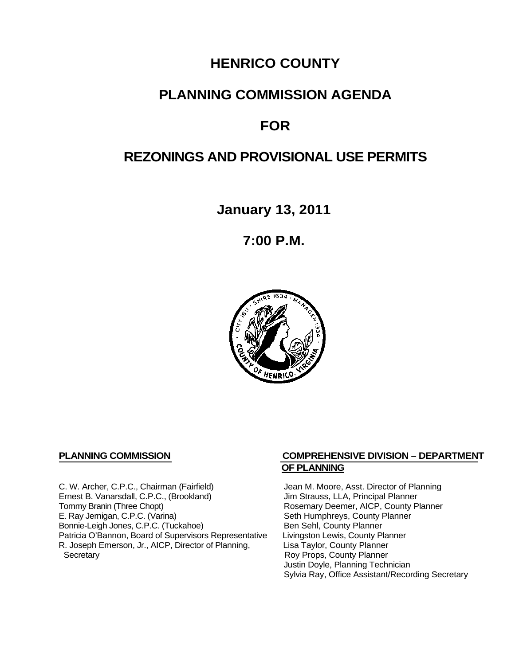## **HENRICO COUNTY**

## **PLANNING COMMISSION AGENDA**

# **FOR**

## **REZONINGS AND PROVISIONAL USE PERMITS**

**January 13, 2011**

**7:00 P.M.**



C. W. Archer, C.P.C., Chairman (Fairfield) Jean M. Moore, Asst. Director of Planning<br>
Ernest B. Vanarsdall, C.P.C., (Brookland) Jim Strauss, LLA, Principal Planner Ernest B. Vanarsdall, C.P.C., (Brookland)<br>Tommy Branin (Three Chopt) Tommy Branin (Three Chopt)<br>
E. Ray Jernigan, C.P.C. (Varina) Seth Humphreys, County Planner E. Ray Jernigan, C.P.C. (Varina) Bonnie-Leigh Jones, C.P.C. (Tuckahoe) Ben Sehl, County Planner<br>Patricia O'Bannon, Board of Supervisors Representative Livingston Lewis, County Planner Patricia O'Bannon, Board of Supervisors Representative Livingston Lewis, County Planner<br>R. Joseph Emerson, Jr., AICP, Director of Planning, Lisa Taylor, County Planner R. Joseph Emerson, Jr., AICP, Director of Planning, Secretary

#### **PLANNING COMMISSION COMPREHENSIVE DIVISION – DEPARTMENT OF PLANNING**

Seth Humphreys, County Planner<br>Ben Sehl, County Planner Roy Props, County Planner Justin Doyle, Planning Technician Sylvia Ray, Office Assistant/Recording Secretary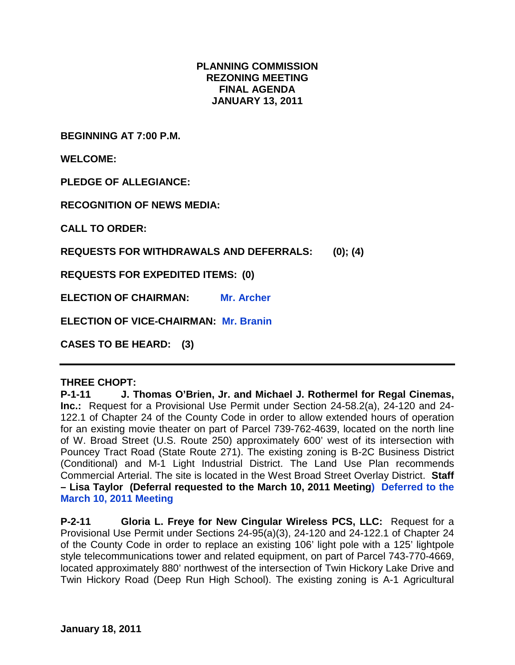### **PLANNING COMMISSION REZONING MEETING FINAL AGENDA JANUARY 13, 2011**

**BEGINNING AT 7:00 P.M.**

**WELCOME:**

**PLEDGE OF ALLEGIANCE:**

**RECOGNITION OF NEWS MEDIA:**

**CALL TO ORDER:**

**REQUESTS FOR WITHDRAWALS AND DEFERRALS: (0); (4)**

**REQUESTS FOR EXPEDITED ITEMS: (0)**

**ELECTION OF CHAIRMAN: Mr. Archer**

**ELECTION OF VICE-CHAIRMAN: Mr. Branin**

**CASES TO BE HEARD: (3)**

#### **THREE CHOPT:**

**P-1-11 J. Thomas O'Brien, Jr. and Michael J. Rothermel for Regal Cinemas, Inc.:** Request for a Provisional Use Permit under Section 24-58.2(a), 24-120 and 24- 122.1 of Chapter 24 of the County Code in order to allow extended hours of operation for an existing movie theater on part of Parcel 739-762-4639, located on the north line of W. Broad Street (U.S. Route 250) approximately 600' west of its intersection with Pouncey Tract Road (State Route 271). The existing zoning is B-2C Business District (Conditional) and M-1 Light Industrial District. The Land Use Plan recommends Commercial Arterial. The site is located in the West Broad Street Overlay District. **Staff – Lisa Taylor (Deferral requested to the March 10, 2011 Meeting) Deferred to the March 10, 2011 Meeting**

**P-2-11 Gloria L. Freye for New Cingular Wireless PCS, LLC:** Request for a Provisional Use Permit under Sections 24-95(a)(3), 24-120 and 24-122.1 of Chapter 24 of the County Code in order to replace an existing 106' light pole with a 125' lightpole style telecommunications tower and related equipment, on part of Parcel 743-770-4669, located approximately 880' northwest of the intersection of Twin Hickory Lake Drive and Twin Hickory Road (Deep Run High School). The existing zoning is A-1 Agricultural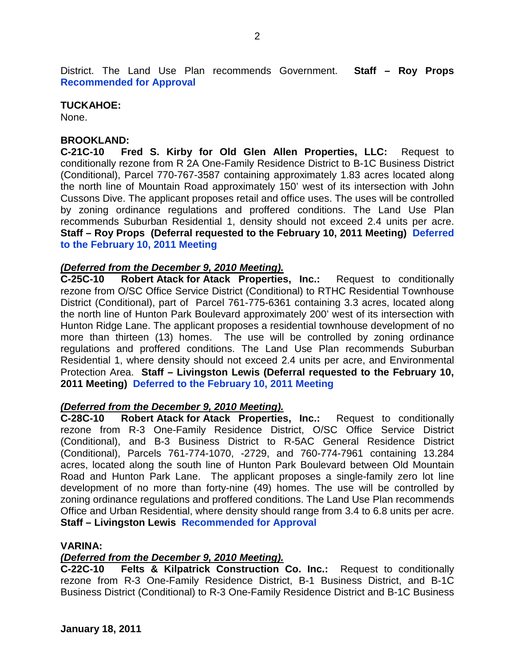District. The Land Use Plan recommends Government. **Staff – Roy Props Recommended for Approval**

#### **TUCKAHOE:**

None.

#### **BROOKLAND:**

**C-21C-10 Fred S. Kirby for Old Glen Allen Properties, LLC:** Request to conditionally rezone from R 2A One-Family Residence District to B-1C Business District (Conditional), Parcel 770-767-3587 containing approximately 1.83 acres located along the north line of Mountain Road approximately 150' west of its intersection with John Cussons Dive. The applicant proposes retail and office uses. The uses will be controlled by zoning ordinance regulations and proffered conditions. The Land Use Plan recommends Suburban Residential 1, density should not exceed 2.4 units per acre. **Staff – Roy Props (Deferral requested to the February 10, 2011 Meeting) Deferred to the February 10, 2011 Meeting**

#### *(Deferred from the December 9, 2010 Meeting).*

**C-25C-10 Robert Atack for Atack Properties, Inc.:** Request to conditionally rezone from O/SC Office Service District (Conditional) to RTHC Residential Townhouse District (Conditional), part of Parcel 761-775-6361 containing 3.3 acres, located along the north line of Hunton Park Boulevard approximately 200' west of its intersection with Hunton Ridge Lane. The applicant proposes a residential townhouse development of no more than thirteen (13) homes. The use will be controlled by zoning ordinance regulations and proffered conditions. The Land Use Plan recommends Suburban Residential 1, where density should not exceed 2.4 units per acre, and Environmental Protection Area. **Staff – Livingston Lewis (Deferral requested to the February 10, 2011 Meeting) Deferred to the February 10, 2011 Meeting**

#### *(Deferred from the December 9, 2010 Meeting).*

**C-28C-10 Robert Atack for Atack Properties, Inc.:** Request to conditionally rezone from R-3 One-Family Residence District, O/SC Office Service District (Conditional), and B-3 Business District to R-5AC General Residence District (Conditional), Parcels 761-774-1070, -2729, and 760-774-7961 containing 13.284 acres, located along the south line of Hunton Park Boulevard between Old Mountain Road and Hunton Park Lane. The applicant proposes a single-family zero lot line development of no more than forty-nine (49) homes. The use will be controlled by zoning ordinance regulations and proffered conditions. The Land Use Plan recommends Office and Urban Residential, where density should range from 3.4 to 6.8 units per acre. **Staff – Livingston Lewis Recommended for Approval**

#### **VARINA:**

#### *(Deferred from the December 9, 2010 Meeting).*

**C-22C-10 Felts & Kilpatrick Construction Co. Inc.:** Request to conditionally rezone from R-3 One-Family Residence District, B-1 Business District, and B-1C Business District (Conditional) to R-3 One-Family Residence District and B-1C Business